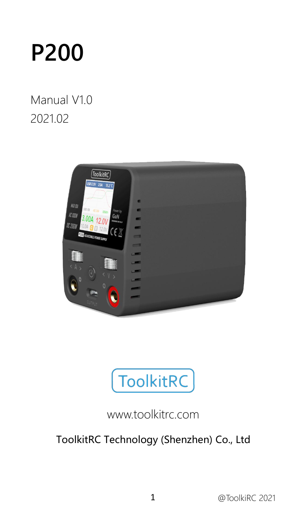

### Manual V1.0 2021.02





### www.toolkitrc.com

### ToolkitRC Technology (Shenzhen) Co., Ltd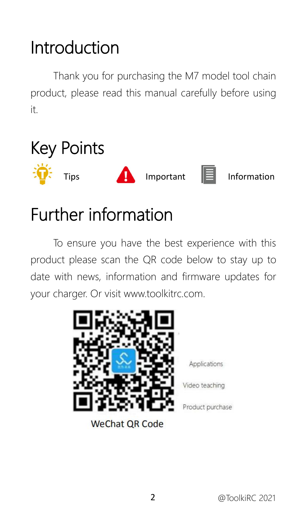# <span id="page-1-0"></span>Introduction

Thank you for purchasing the M7 model tool chain product, please read this manual carefully before using it.

<span id="page-1-1"></span>

### <span id="page-1-2"></span>Further information

To ensure you have the best experience with this product please scan the QR code below to stay up to date with news, information and firmware updates for your charger. Or visit www.toolkitrc.com.



**WeChat QR Code** 

Applications

Video teaching

Product purchase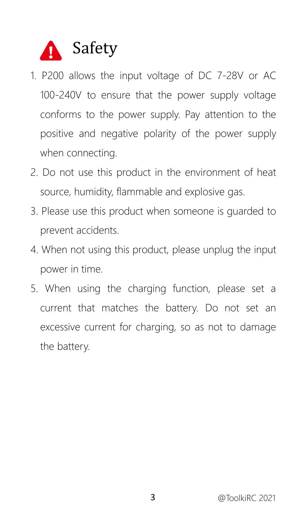<span id="page-2-0"></span>

- 1. P200 allows the input voltage of DC 7-28V or AC 100-240V to ensure that the power supply voltage conforms to the power supply. Pay attention to the positive and negative polarity of the power supply when connecting.
- 2. Do not use this product in the environment of heat source, humidity, flammable and explosive gas.
- 3. Please use this product when someone is guarded to prevent accidents.
- 4. When not using this product, please unplug the input power in time.
- 5. When using the charging function, please set a current that matches the battery. Do not set an excessive current for charging, so as not to damage the battery.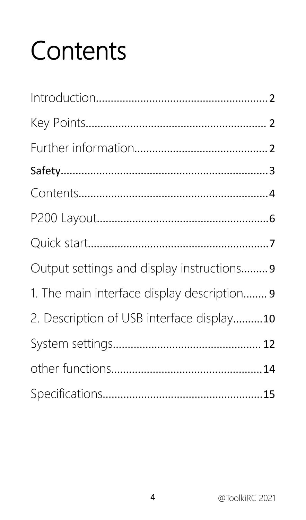# <span id="page-3-0"></span>Contents

| Output settings and display instructions 9  |
|---------------------------------------------|
| 1. The main interface display description 9 |
| 2. Description of USB interface display10   |
|                                             |
|                                             |
|                                             |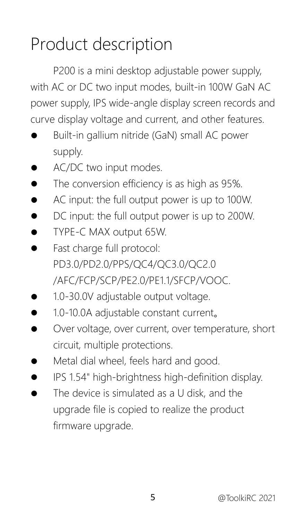# Product description

P200 is a mini desktop adjustable power supply, with AC or DC two input modes, built-in 100W GaN AC power supply, IPS wide-angle display screen records and curve display voltage and current, and other features.

- Built-in gallium nitride (GaN) small AC power supply.
- AC/DC two input modes.
- The conversion efficiency is as high as 95%.
- AC input: the full output power is up to 100W.
- DC input: the full output power is up to 200W.
- TYPE-C MAX output 65W.
- Fast charge full protocol: PD3.0/PD2.0/PPS/QC4/QC3.0/QC2.0 /AFC/FCP/SCP/PE2.0/PE1.1/SFCP/VOOC.
- 1.0-30.0V adjustable output voltage.
- 1.0-10.0A adjustable constant current。
- Over voltage, over current, over temperature, short circuit, multiple protections.
- Metal dial wheel, feels hard and good.
- IPS 1.54" high-brightness high-definition display.
- The device is simulated as a U disk, and the upgrade file is copied to realize the product firmware upgrade.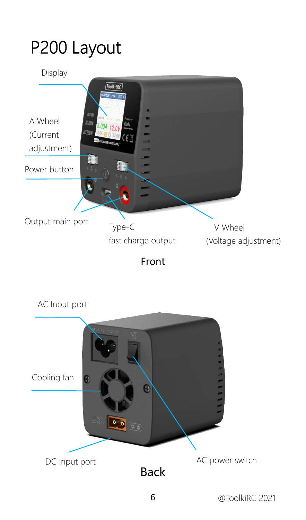# <span id="page-5-0"></span>P200 Layout



Front

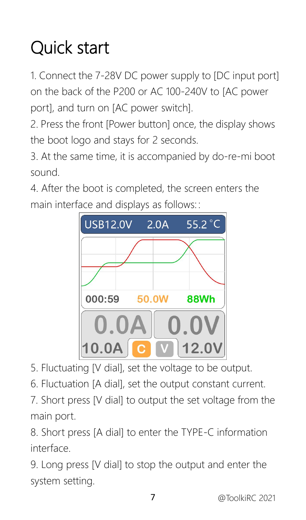# <span id="page-6-0"></span>Quick start

1. Connect the 7-28V DC power supply to [DC input port] on the back of the P200 or AC 100-240V to JAC power port], and turn on [AC power switch].

2. Press the front [Power button] once, the display shows the boot logo and stays for 2 seconds.

3. At the same time, it is accompanied by do-re-mi boot sound.

4. After the boot is completed, the screen enters the main interface and displays as follows::



5. Fluctuating [V dial], set the voltage to be output.

6. Fluctuation [A dial], set the output constant current.

7. Short press [V dial] to output the set voltage from the main port.

8. Short press [A dial] to enter the TYPE-C information interface.

9. Long press [V dial] to stop the output and enter the system setting.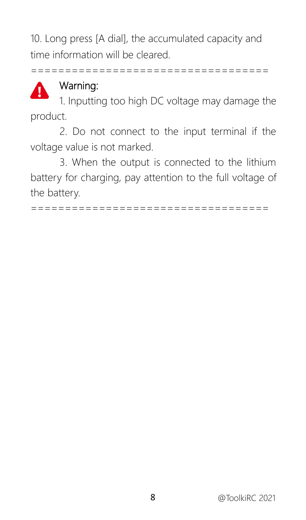10. Long press [A dial], the accumulated capacity and time information will be cleared.

===================================



#### Warning:

1. Inputting too high DC voltage may damage the product.

2. Do not connect to the input terminal if the voltage value is not marked.

3. When the output is connected to the lithium battery for charging, pay attention to the full voltage of the battery.

===================================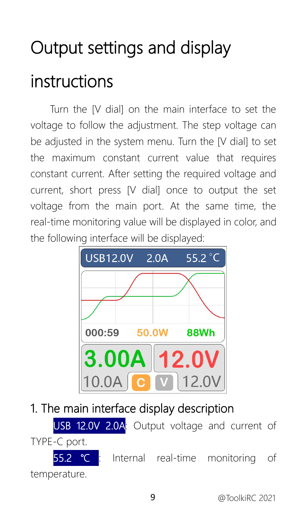# <span id="page-8-0"></span>Output settings and display instructions

Turn the [V dial] on the main interface to set the voltage to follow the adjustment. The step voltage can be adjusted in the system menu. Turn the [V dial] to set the maximum constant current value that requires constant current. After setting the required voltage and current, short press [V dial] once to output the set voltage from the main port. At the same time, the real-time monitoring value will be displayed in color, and the following interface will be displayed:



<span id="page-8-1"></span>1. The main interface display description

USB 12.0V 2.0A: Output voltage and current of TYPE-C port. <u><sup>•</sup>C</u> : Internal real-time monitoring of temperature.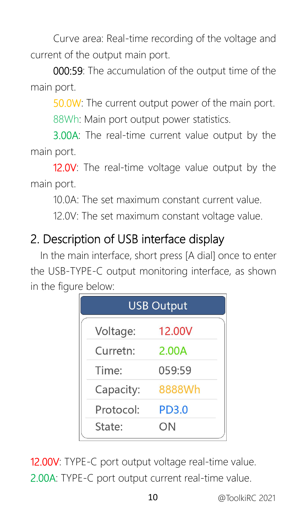Curve area: Real-time recording of the voltage and current of the output main port.

000:59: The accumulation of the output time of the main port.

50.0W: The current output power of the main port.

88Wh: Main port output power statistics.

3.00A: The real-time current value output by the main port.

12.0V: The real-time voltage value output by the main port.

10.0A: The set maximum constant current value.

12.0V: The set maximum constant voltage value.

### <span id="page-9-0"></span>2. Description of USB interface display

In the main interface, short press [A dial] once to enter the USB-TYPE-C output monitoring interface, as shown in the figure below:

|           | <b>USB Output</b> |
|-----------|-------------------|
| Voltage:  | 12.00V            |
| Curretn:  | 2.00A             |
| Time:     | 059:59            |
| Capacity: | 8888Wh            |
| Protocol: | <b>PD3.0</b>      |
| State:    | ΟN                |

12.00V: TYPE-C port output voltage real-time value. 2.00A: TYPE-C port output current real-time value.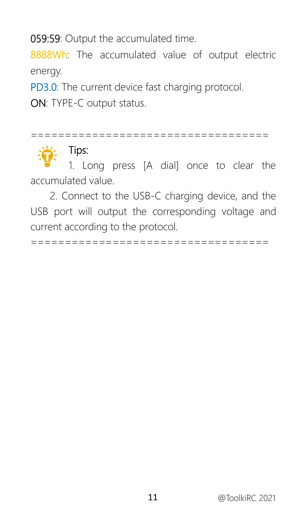059:59: Output the accumulated time.

8888Wh: The accumulated value of output electric energy.

PD3.0: The current device fast charging protocol.

ON: TYPE-C output status.

=================================== Tips: 1. Long press [A dial] once to clear the

accumulated value.

2. Connect to the USB-C charging device, and the USB port will output the corresponding voltage and current according to the protocol.

===================================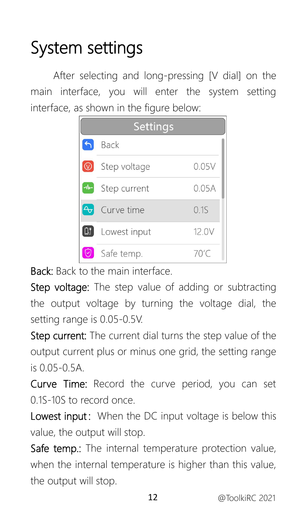# <span id="page-11-0"></span>System settings

After selecting and long-pressing [V dial] on the main interface, you will enter the system setting interface, as shown in the figure below:

|                | <b>Settings</b> |       |
|----------------|-----------------|-------|
|                | Back            |       |
| $\circledcirc$ | Step voltage    | 0.05V |
|                | Step current    | 0.05A |
| $A_{\sigma}$   | Curve time      | 01S   |
| $ \mathbb{G} $ | Lowest input    | 12.0V |
|                | Safe temp.      | 70'C  |

Back: Back to the main interface.

Step voltage: The step value of adding or subtracting the output voltage by turning the voltage dial, the setting range is 0.05-0.5V.

Step current: The current dial turns the step value of the output current plus or minus one grid, the setting range is 0.05-0.5A.

Curve Time: Record the curve period, you can set 0.1S-10S to record once.

Lowest input: When the DC input voltage is below this value, the output will stop.

Safe temp.: The internal temperature protection value, when the internal temperature is higher than this value, the output will stop.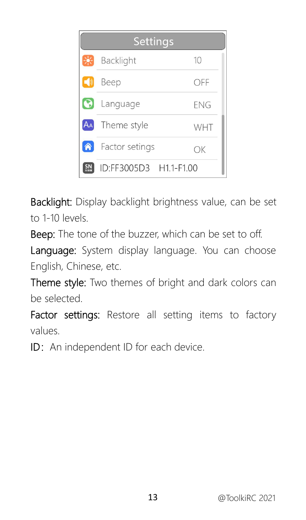|               | Settings               |            |
|---------------|------------------------|------------|
| 鸮             | Backlight              | 10         |
| $\rightarrow$ | Beep                   | off        |
| $\bullet$     | Language               | <b>FNG</b> |
| AA            | Theme style            | WHT        |
| Â             | Factor setings         | ОK         |
|               | ID:FF3005D3 H1.1-F1.00 |            |

Backlight: Display backlight brightness value, can be set to 1-10 levels.

Beep: The tone of the buzzer, which can be set to off.

Lanquage: System display language. You can choose English, Chinese, etc.

Theme style: Two themes of bright and dark colors can be selected.

Factor settings: Restore all setting items to factory values.

ID: An independent ID for each device.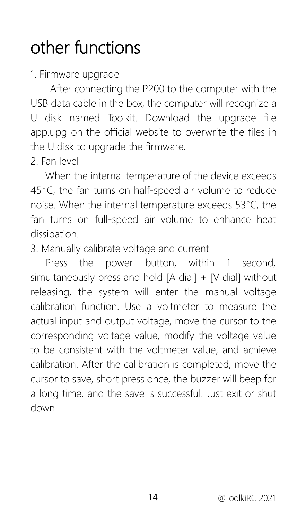# <span id="page-13-0"></span>other functions

1. Firmware upgrade

After connecting the P200 to the computer with the USB data cable in the box, the computer will recognize a U disk named Toolkit. Download the upgrade file app.upg on the official website to overwrite the files in the U disk to upgrade the firmware.

2. Fan level

When the internal temperature of the device exceeds 45°C, the fan turns on half-speed air volume to reduce noise. When the internal temperature exceeds 53°C, the fan turns on full-speed air volume to enhance heat dissipation.

3. Manually calibrate voltage and current

Press the power button, within 1 second, simultaneously press and hold  $[A \text{ dial}] + [V \text{ dial}]$  without releasing, the system will enter the manual voltage calibration function. Use a voltmeter to measure the actual input and output voltage, move the cursor to the corresponding voltage value, modify the voltage value to be consistent with the voltmeter value, and achieve calibration. After the calibration is completed, move the cursor to save, short press once, the buzzer will beep for a long time, and the save is successful. Just exit or shut down.